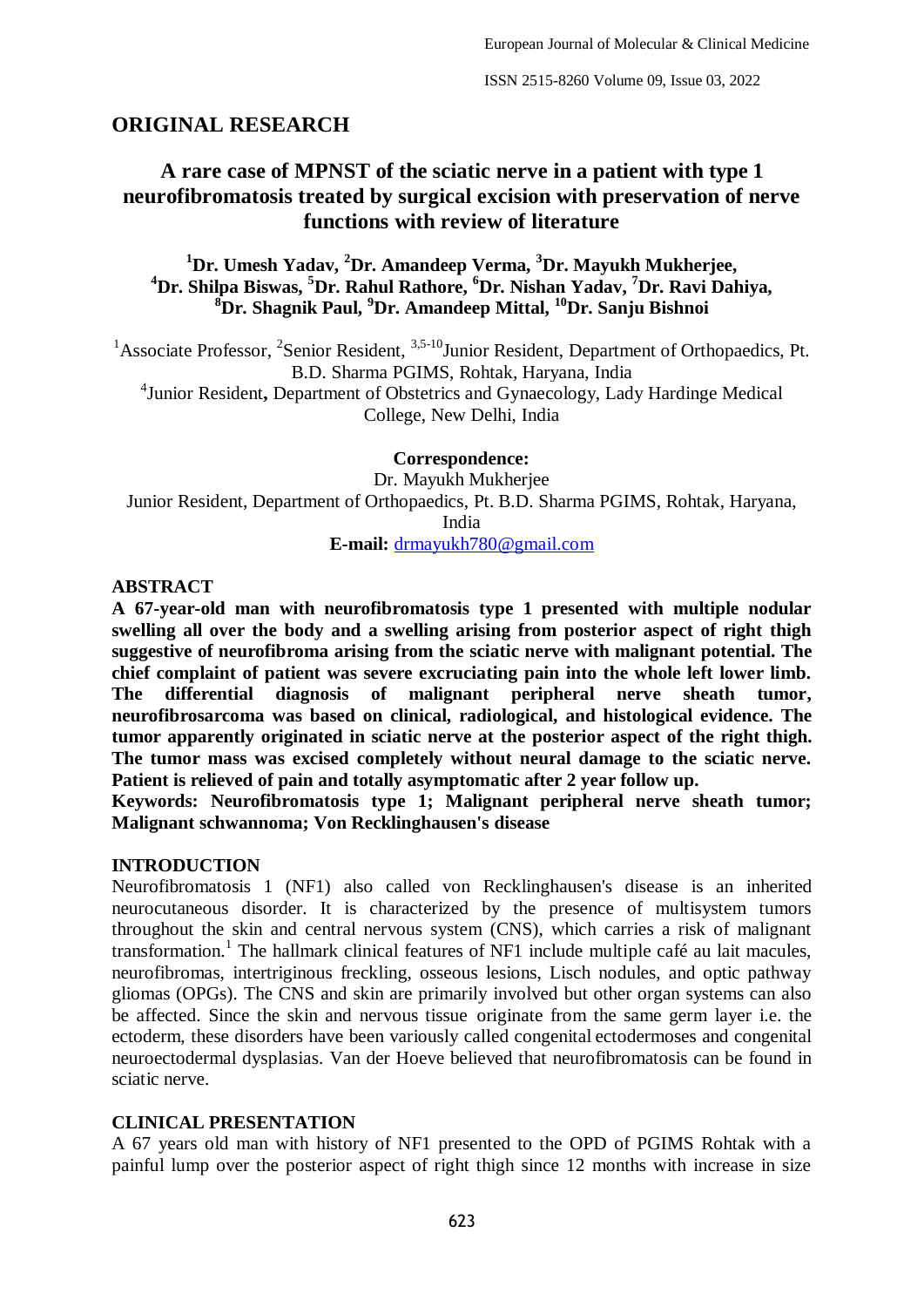## **ORIGINAL RESEARCH**

# **A rare case of MPNST of the sciatic nerve in a patient with type 1 neurofibromatosis treated by surgical excision with preservation of nerve functions with review of literature**

## **<sup>1</sup>Dr. Umesh Yadav, <sup>2</sup>Dr. Amandeep Verma, <sup>3</sup>Dr. Mayukh Mukherjee, <sup>4</sup>Dr. Shilpa Biswas, <sup>5</sup>Dr. Rahul Rathore, <sup>6</sup>Dr. Nishan Yadav, <sup>7</sup>Dr. Ravi Dahiya, <sup>8</sup>Dr. Shagnik Paul, <sup>9</sup>Dr. Amandeep Mittal, <sup>10</sup>Dr. Sanju Bishnoi**

<sup>1</sup> Associate Professor, <sup>2</sup> Senior Resident,  $3,5-10$  Junior Resident, Department of Orthopaedics, Pt. B.D. Sharma PGIMS, Rohtak, Haryana, India

4 Junior Resident**,** Department of Obstetrics and Gynaecology, Lady Hardinge Medical College, New Delhi, India

**Correspondence:**

Dr. Mayukh Mukherjee Junior Resident, Department of Orthopaedics, Pt. B.D. Sharma PGIMS, Rohtak, Haryana, India **E-mail:** [drmayukh780@gmail.com](mailto:drmayukh780@gmail.com)

### **ABSTRACT**

**A 67-year-old man with neurofibromatosis type 1 presented with multiple nodular swelling all over the body and a swelling arising from posterior aspect of right thigh suggestive of neurofibroma arising from the sciatic nerve with malignant potential. The chief complaint of patient was severe excruciating pain into the whole left lower limb. The differential diagnosis of malignant peripheral nerve sheath tumor, neurofibrosarcoma was based on clinical, radiological, and histological evidence. The tumor apparently originated in sciatic nerve at the posterior aspect of the right thigh. The tumor mass was excised completely without neural damage to the sciatic nerve. Patient is relieved of pain and totally asymptomatic after 2 year follow up.**

**Keywords: Neurofibromatosis type 1; Malignant peripheral nerve sheath tumor; Malignant schwannoma; Von Recklinghausen's disease**

### **INTRODUCTION**

Neurofibromatosis 1 (NF1) also called von Recklinghausen's disease is an inherited neurocutaneous disorder. It is characterized by the presence of multisystem tumors throughout the skin and central nervous system (CNS), which carries a risk of malignant transformation.<sup>1</sup> The hallmark clinical features of NF1 include multiple café au lait macules, neurofibromas, intertriginous freckling, osseous lesions, Lisch nodules, and optic pathway gliomas (OPGs). The CNS and skin are primarily involved but other organ systems can also be affected. Since the skin and nervous tissue originate from the same germ layer i.e. the ectoderm, these disorders have been variously called congenital ectodermoses and congenital neuroectodermal dysplasias. Van der Hoeve believed that neurofibromatosis can be found in sciatic nerve.

### **CLINICAL PRESENTATION**

A 67 years old man with history of NF1 presented to the OPD of PGIMS Rohtak with a painful lump over the posterior aspect of right thigh since 12 months with increase in size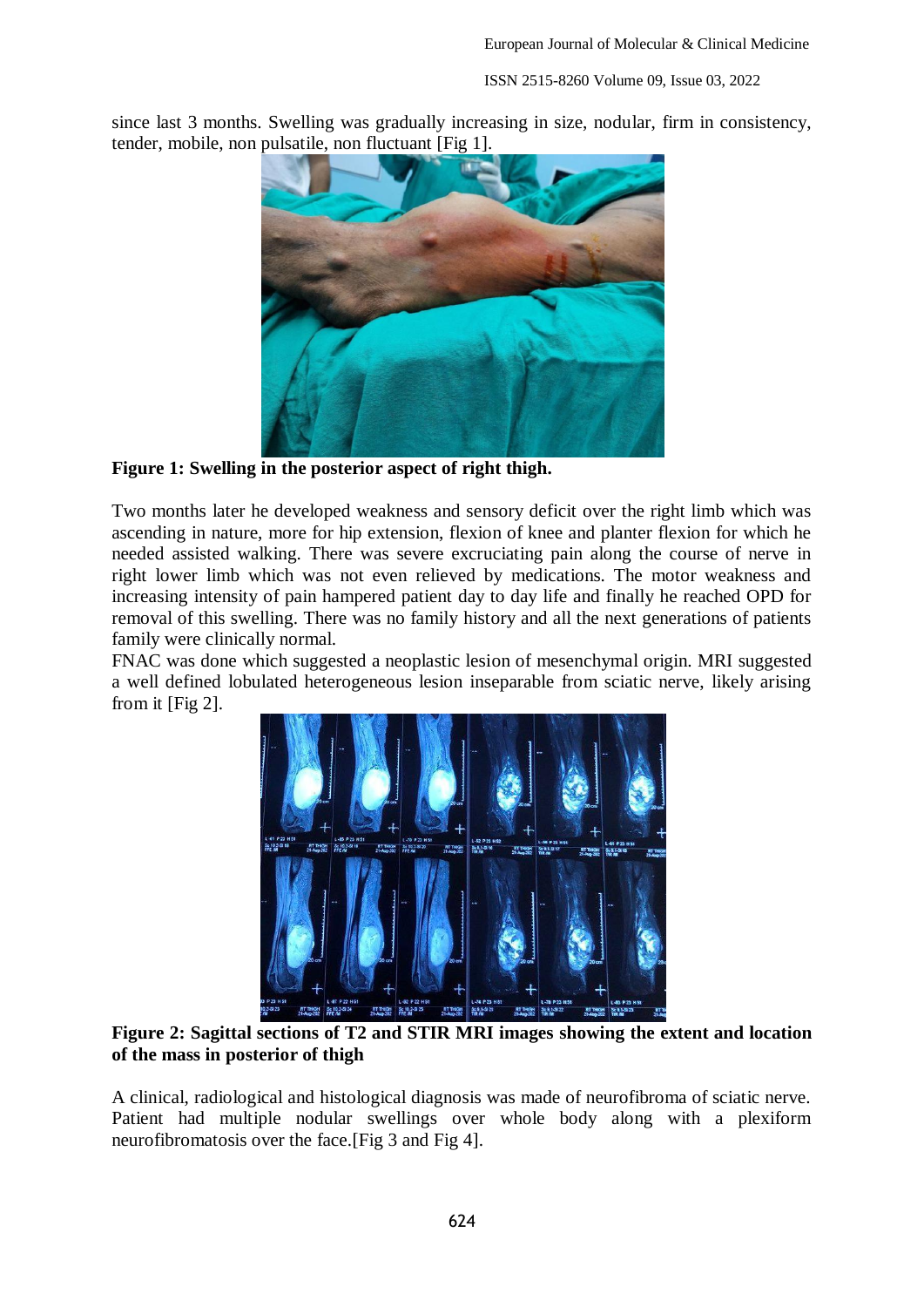ISSN 2515-8260 Volume 09, Issue 03, 2022

since last 3 months. Swelling was gradually increasing in size, nodular, firm in consistency, tender, mobile, non pulsatile, non fluctuant [Fig 1].



**Figure 1: Swelling in the posterior aspect of right thigh.**

Two months later he developed weakness and sensory deficit over the right limb which was ascending in nature, more for hip extension, flexion of knee and planter flexion for which he needed assisted walking. There was severe excruciating pain along the course of nerve in right lower limb which was not even relieved by medications. The motor weakness and increasing intensity of pain hampered patient day to day life and finally he reached OPD for removal of this swelling. There was no family history and all the next generations of patients family were clinically normal.

FNAC was done which suggested a neoplastic lesion of mesenchymal origin. MRI suggested a well defined lobulated heterogeneous lesion inseparable from sciatic nerve, likely arising from it [Fig 2].



**Figure 2: Sagittal sections of T2 and STIR MRI images showing the extent and location of the mass in posterior of thigh** 

A clinical, radiological and histological diagnosis was made of neurofibroma of sciatic nerve. Patient had multiple nodular swellings over whole body along with a plexiform neurofibromatosis over the face.[Fig 3 and Fig 4].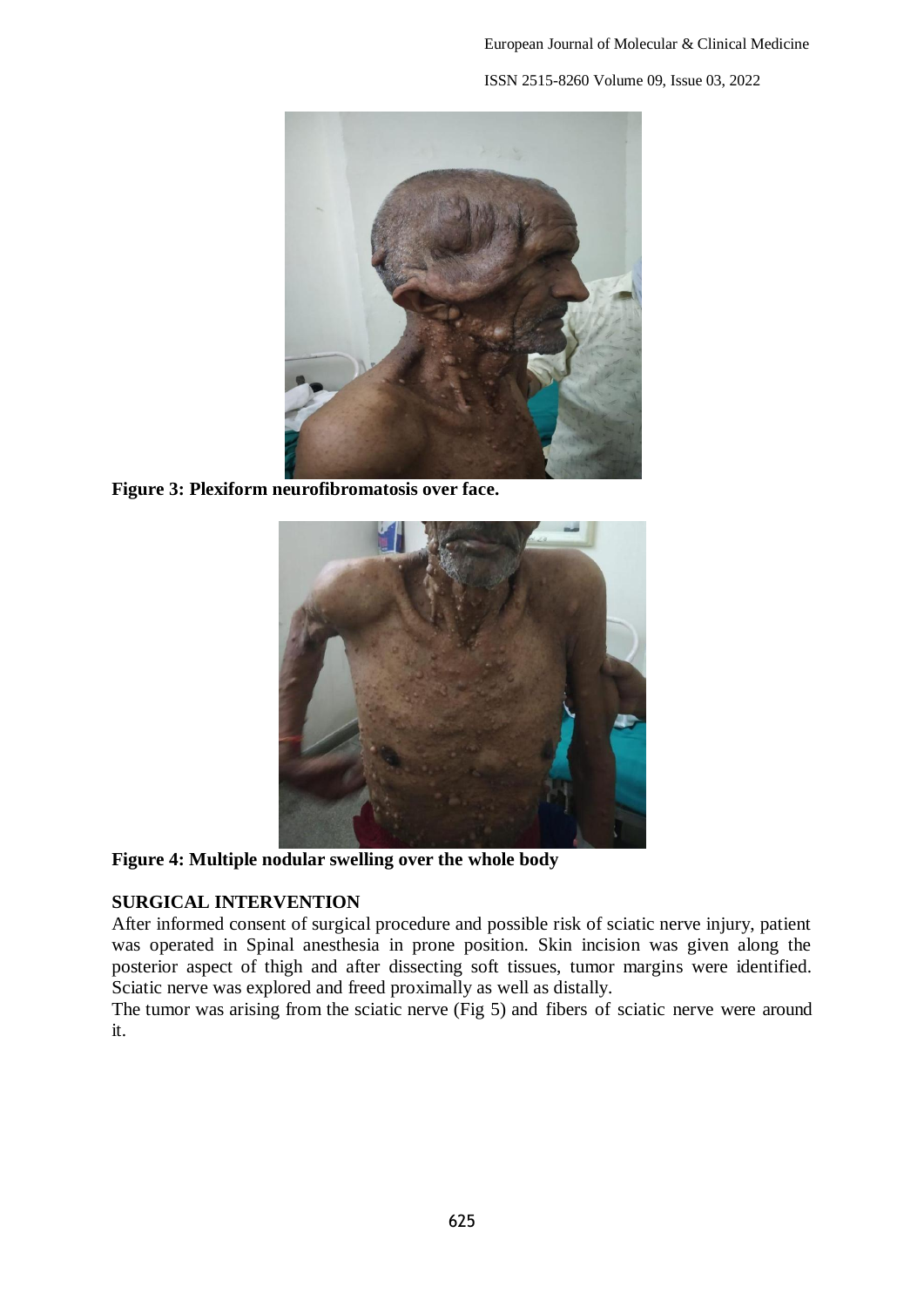

**Figure 3: Plexiform neurofibromatosis over face.**



**Figure 4: Multiple nodular swelling over the whole body**

## **SURGICAL INTERVENTION**

After informed consent of surgical procedure and possible risk of sciatic nerve injury, patient was operated in Spinal anesthesia in prone position. Skin incision was given along the posterior aspect of thigh and after dissecting soft tissues, tumor margins were identified. Sciatic nerve was explored and freed proximally as well as distally.

The tumor was arising from the sciatic nerve (Fig 5) and fibers of sciatic nerve were around it.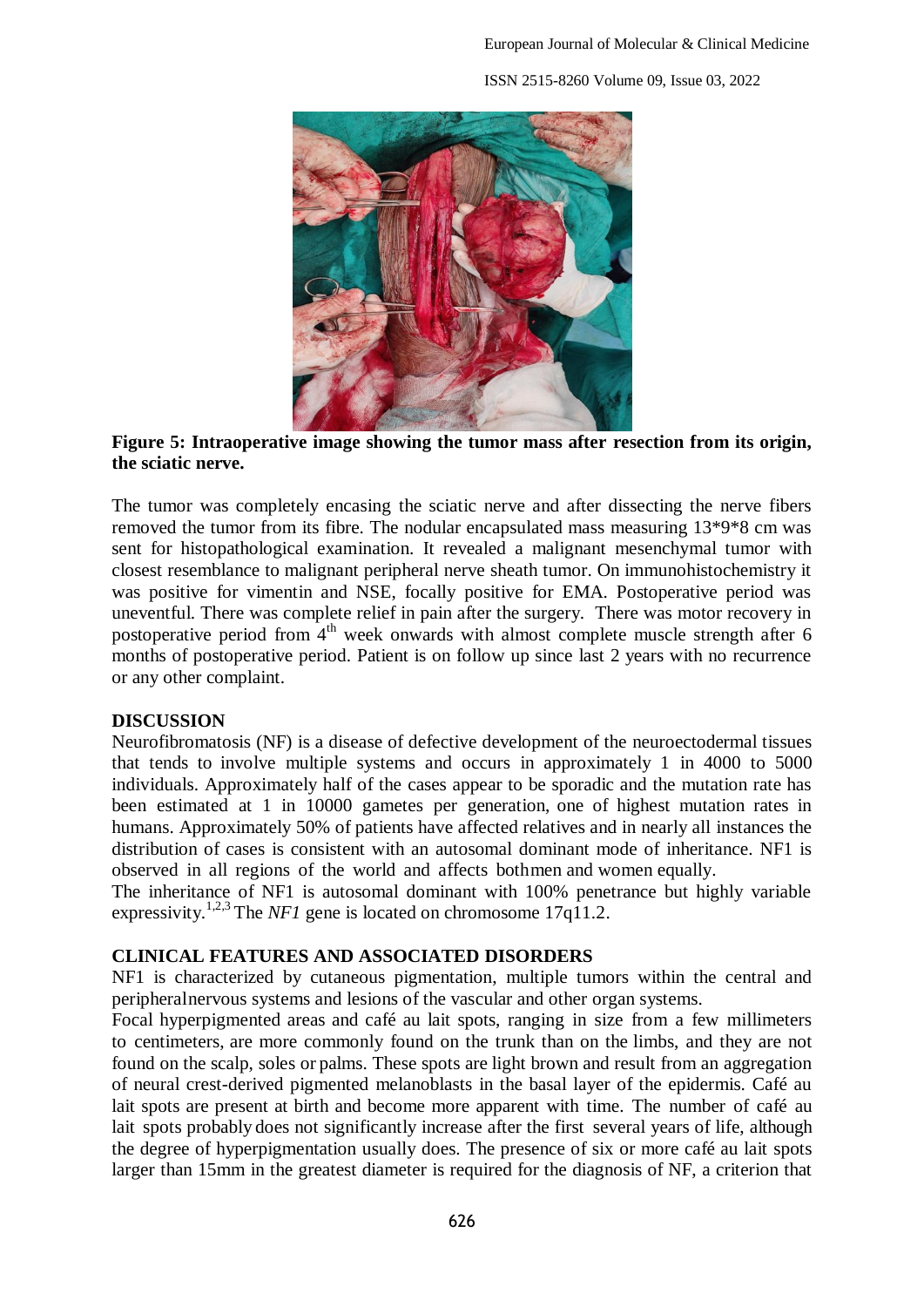ISSN 2515-8260 Volume 09, Issue 03, 2022



## **Figure 5: Intraoperative image showing the tumor mass after resection from its origin, the sciatic nerve.**

The tumor was completely encasing the sciatic nerve and after dissecting the nerve fibers removed the tumor from its fibre. The nodular encapsulated mass measuring 13\*9\*8 cm was sent for histopathological examination. It revealed a malignant mesenchymal tumor with closest resemblance to malignant peripheral nerve sheath tumor. On immunohistochemistry it was positive for vimentin and NSE, focally positive for EMA. Postoperative period was uneventful. There was complete relief in pain after the surgery. There was motor recovery in postoperative period from  $4<sup>th</sup>$  week onwards with almost complete muscle strength after 6 months of postoperative period. Patient is on follow up since last 2 years with no recurrence or any other complaint.

### **DISCUSSION**

Neurofibromatosis (NF) is a disease of defective development of the neuroectodermal tissues that tends to involve multiple systems and occurs in approximately 1 in 4000 to 5000 individuals. Approximately half of the cases appear to be sporadic and the mutation rate has been estimated at 1 in 10000 gametes per generation, one of highest mutation rates in humans. Approximately 50% of patients have affected relatives and in nearly all instances the distribution of cases is consistent with an autosomal dominant mode of inheritance. NF1 is observed in all regions of the world and affects bothmen and women equally.

The inheritance of NF1 is autosomal dominant with 100% penetrance but highly variable expressivity.<sup>1,2,3</sup> The *NF1* gene is located on chromosome  $17q11.2$ .

## **CLINICAL FEATURES AND ASSOCIATED DISORDERS**

NF1 is characterized by cutaneous pigmentation, multiple tumors within the central and peripheralnervous systems and lesions of the vascular and other organ systems.

Focal hyperpigmented areas and café au lait spots, ranging in size from a few millimeters to centimeters, are more commonly found on the trunk than on the limbs, and they are not found on the scalp, soles or palms. These spots are light brown and result from an aggregation of neural crest-derived pigmented melanoblasts in the basal layer of the epidermis. Café au lait spots are present at birth and become more apparent with time. The number of café au lait spots probably does not significantly increase after the first several years of life, although the degree of hyperpigmentation usually does. The presence of six or more café au lait spots larger than 15mm in the greatest diameter is required for the diagnosis of NF, a criterion that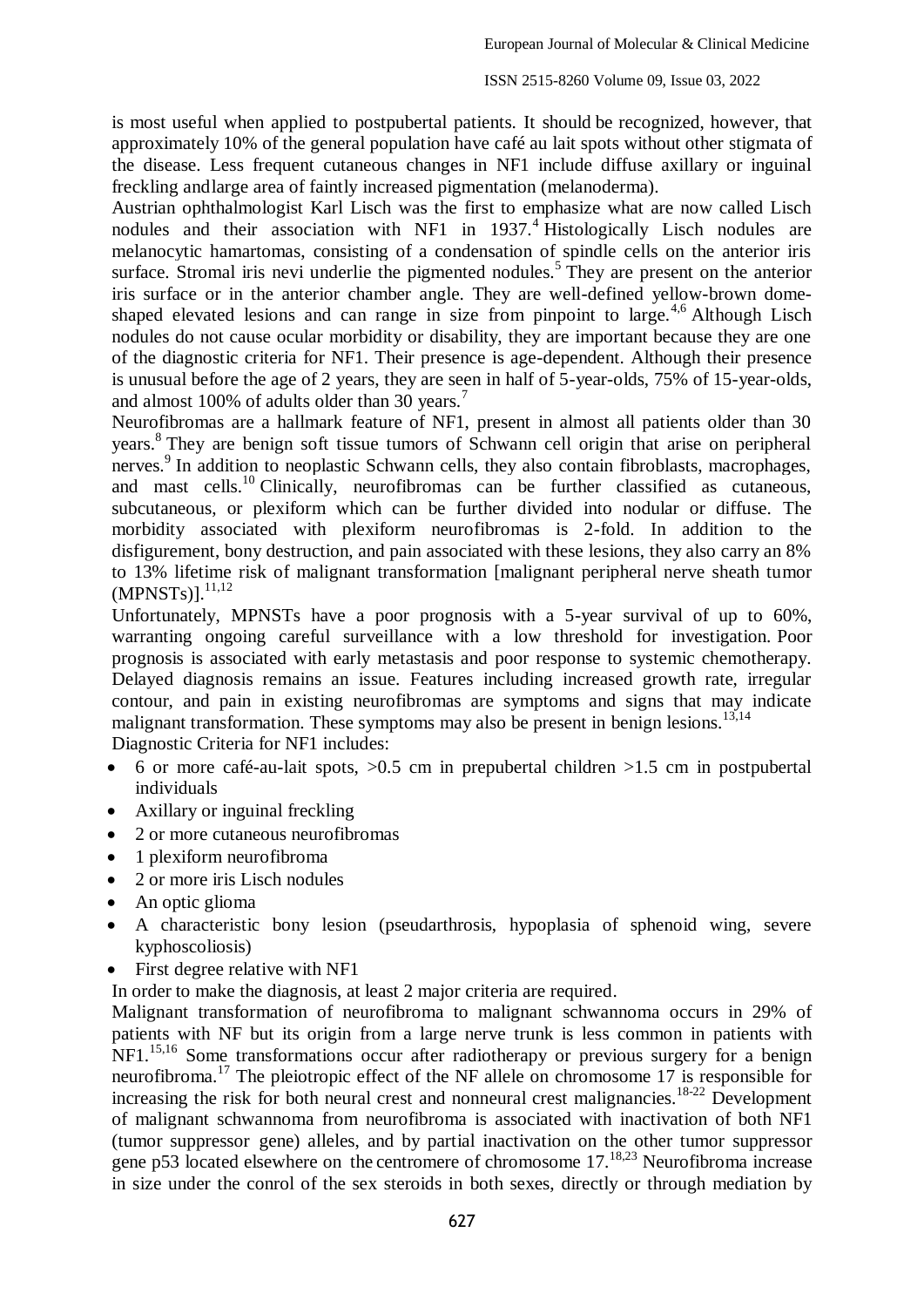is most useful when applied to postpubertal patients. It should be recognized, however, that approximately 10% of the general population have café au lait spots without other stigmata of the disease. Less frequent cutaneous changes in NF1 include diffuse axillary or inguinal freckling andlarge area of faintly increased pigmentation (melanoderma).

Austrian ophthalmologist Karl Lisch was the first to emphasize what are now called Lisch nodules and their association with NF1 in  $1937<sup>4</sup>$  Histologically Lisch nodules are melanocytic hamartomas, consisting of a condensation of spindle cells on the anterior iris surface. Stromal iris nevi underlie the pigmented nodules.<sup>5</sup> They are present on the anterior iris surface or in the anterior chamber angle. They are well-defined yellow-brown domeshaped elevated lesions and can range in size from pinpoint to large.<sup>4,6</sup> Although Lisch nodules do not cause ocular morbidity or disability, they are important because they are one of the diagnostic criteria for NF1. Their presence is age-dependent. Although their presence is unusual before the age of 2 years, they are seen in half of 5-year-olds, 75% of 15-year-olds, and almost 100% of adults older than 30 years.<sup>7</sup>

Neurofibromas are a hallmark feature of NF1, present in almost all patients older than 30 years.<sup>8</sup> They are benign soft tissue tumors of Schwann cell origin that arise on peripheral nerves.<sup>9</sup> In addition to neoplastic Schwann cells, they also contain fibroblasts, macrophages, and mast cells.<sup>10</sup> Clinically, neurofibromas can be further classified as cutaneous, subcutaneous, or plexiform which can be further divided into nodular or diffuse. The morbidity associated with plexiform neurofibromas is 2-fold. In addition to the disfigurement, bony destruction, and pain associated with these lesions, they also carry an 8% to 13% lifetime risk of malignant transformation [malignant peripheral nerve sheath tumor  $(MPNSTs)]$ .  $^{11,12}$ 

Unfortunately, MPNSTs have a poor prognosis with a 5-year survival of up to 60%, warranting ongoing careful surveillance with a low threshold for investigation. Poor prognosis is associated with early metastasis and poor response to systemic chemotherapy. Delayed diagnosis remains an issue. Features including increased growth rate, irregular contour, and pain in existing neurofibromas are symptoms and signs that may indicate malignant transformation. These symptoms may also be present in benign lesions.<sup>13,14</sup>

Diagnostic Criteria for NF1 includes:

- $\bullet$  6 or more café-au-lait spots,  $>0.5$  cm in prepubertal children  $>1.5$  cm in postpubertal individuals
- Axillary or inguinal freckling
- 2 or more cutaneous neurofibromas
- 1 plexiform neurofibroma
- 2 or more iris Lisch nodules
- An optic glioma
- A characteristic bony lesion (pseudarthrosis, hypoplasia of sphenoid wing, severe kyphoscoliosis)
- First degree relative with NF1

In order to make the diagnosis, at least 2 major criteria are required.

Malignant transformation of neurofibroma to malignant schwannoma occurs in 29% of patients with NF but its origin from a large nerve trunk is less common in patients with NF1.<sup>15,16</sup> Some transformations occur after radiotherapy or previous surgery for a benign neurofibroma.<sup>17</sup> The pleiotropic effect of the NF allele on chromosome 17 is responsible for increasing the risk for both neural crest and nonneural crest malignancies.<sup>18-22</sup> Development of malignant schwannoma from neurofibroma is associated with inactivation of both NF1 (tumor suppressor gene) alleles, and by partial inactivation on the other tumor suppressor gene p53 located elsewhere on the centromere of chromosome 17.<sup>18,23</sup> Neurofibroma increase in size under the conrol of the sex steroids in both sexes, directly or through mediation by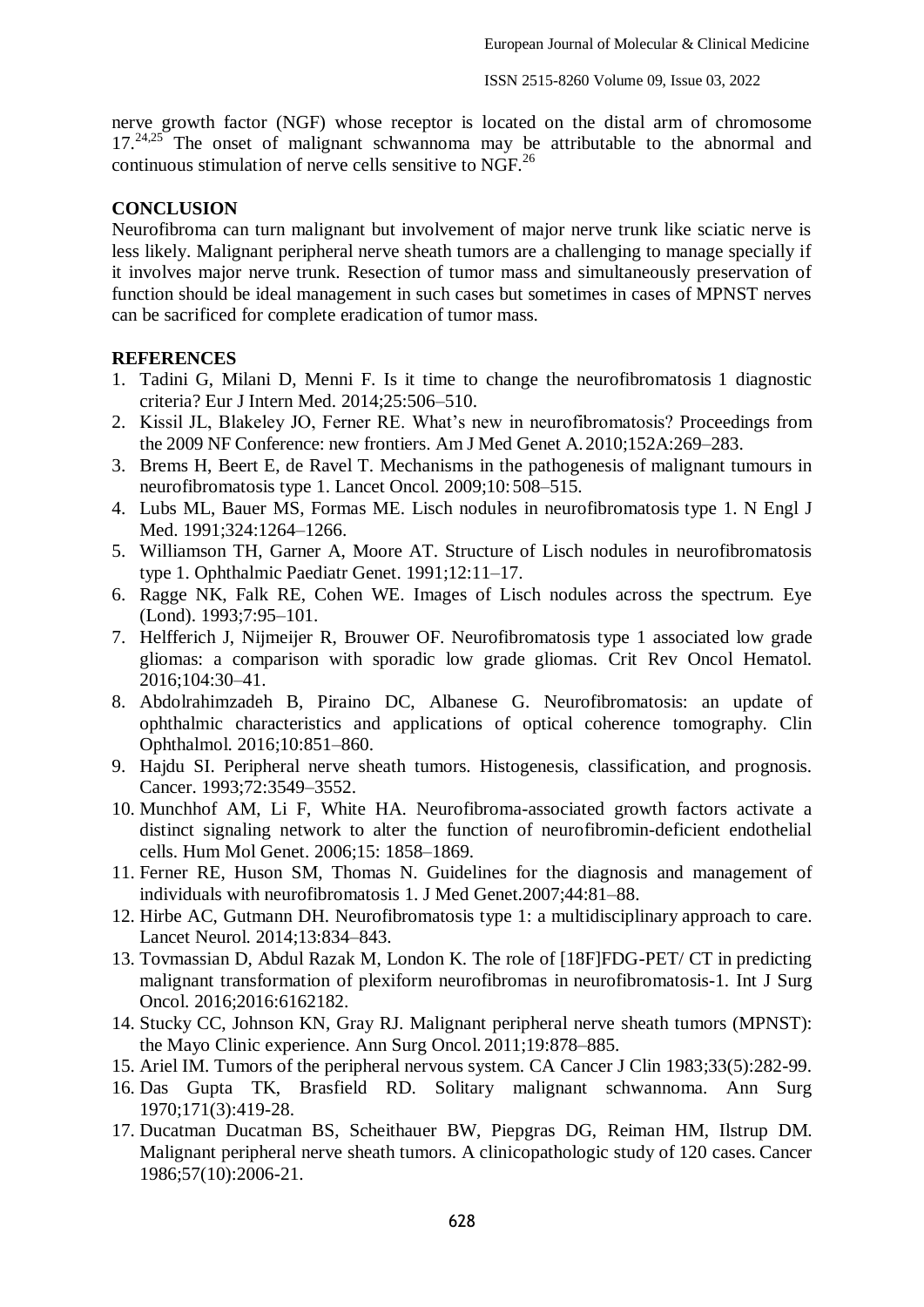nerve growth factor (NGF) whose receptor is located on the distal arm of chromosome 17.<sup>24,25</sup> The onset of malignant schwannoma may be attributable to the abnormal and continuous stimulation of nerve cells sensitive to  $\overline{NGE}^{26}$ 

## **CONCLUSION**

Neurofibroma can turn malignant but involvement of major nerve trunk like sciatic nerve is less likely. Malignant peripheral nerve sheath tumors are a challenging to manage specially if it involves major nerve trunk. Resection of tumor mass and simultaneously preservation of function should be ideal management in such cases but sometimes in cases of MPNST nerves can be sacrificed for complete eradication of tumor mass.

### **REFERENCES**

- 1. Tadini G, Milani D, Menni F. Is it time to change the neurofibromatosis 1 diagnostic criteria? Eur J Intern Med. 2014;25:506–510.
- 2. Kissil JL, Blakeley JO, Ferner RE. What's new in neurofibromatosis? Proceedings from the 2009 NF Conference: new frontiers. Am J Med Genet A. 2010;152A:269–283.
- 3. Brems H, Beert E, de Ravel T. Mechanisms in the pathogenesis of malignant tumours in neurofibromatosis type 1. Lancet Oncol. 2009;10:508–515.
- 4. Lubs ML, Bauer MS, Formas ME. Lisch nodules in neurofibromatosis type 1. N Engl J Med. 1991;324:1264–1266.
- 5. Williamson TH, Garner A, Moore AT. Structure of Lisch nodules in neurofibromatosis type 1. Ophthalmic Paediatr Genet. 1991;12:11–17.
- 6. Ragge NK, Falk RE, Cohen WE. Images of Lisch nodules across the spectrum. Eye (Lond). 1993;7:95–101.
- 7. Helfferich J, Nijmeijer R, Brouwer OF. Neurofibromatosis type 1 associated low grade gliomas: a comparison with sporadic low grade gliomas. Crit Rev Oncol Hematol. 2016;104:30–41.
- 8. Abdolrahimzadeh B, Piraino DC, Albanese G. Neurofibromatosis: an update of ophthalmic characteristics and applications of optical coherence tomography. Clin Ophthalmol. 2016;10:851–860.
- 9. Hajdu SI. Peripheral nerve sheath tumors. Histogenesis, classification, and prognosis. Cancer. 1993;72:3549–3552.
- 10. Munchhof AM, Li F, White HA. Neurofibroma-associated growth factors activate a distinct signaling network to alter the function of neurofibromin-deficient endothelial cells. Hum Mol Genet. 2006;15: 1858–1869.
- 11. Ferner RE, Huson SM, Thomas N. Guidelines for the diagnosis and management of individuals with neurofibromatosis 1. J Med Genet.2007;44:81–88.
- 12. Hirbe AC, Gutmann DH. Neurofibromatosis type 1: a multidisciplinary approach to care. Lancet Neurol. 2014;13:834–843.
- 13. Tovmassian D, Abdul Razak M, London K. The role of [18F]FDG-PET/ CT in predicting malignant transformation of plexiform neurofibromas in neurofibromatosis-1. Int J Surg Oncol. 2016;2016:6162182.
- 14. Stucky CC, Johnson KN, Gray RJ. Malignant peripheral nerve sheath tumors (MPNST): the Mayo Clinic experience. Ann Surg Oncol. 2011;19:878–885.
- 15. Ariel IM. Tumors of the peripheral nervous system. CA Cancer J Clin 1983;33(5):282-99.
- 16. Das Gupta TK, Brasfield RD. Solitary malignant schwannoma. Ann Surg 1970;171(3):419-28.
- 17. Ducatman Ducatman BS, Scheithauer BW, Piepgras DG, Reiman HM, Ilstrup DM. Malignant peripheral nerve sheath tumors. A clinicopathologic study of 120 cases. Cancer 1986;57(10):2006-21.